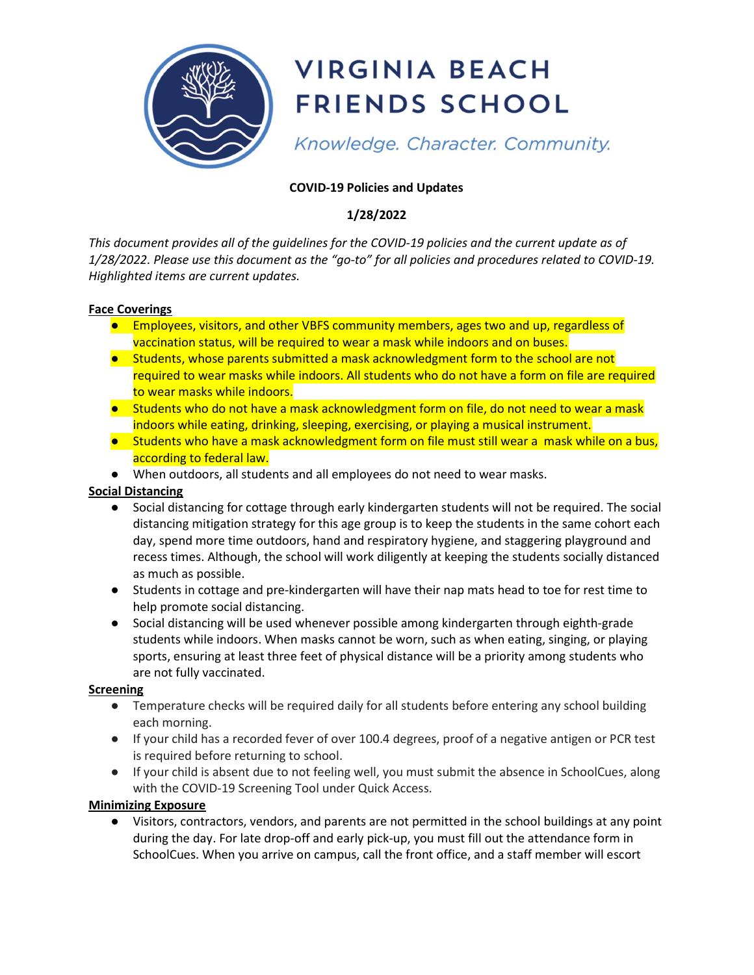

# **VIRGINIA BEACH FRIENDS SCHOOL**

Knowledge. Character. Community.

## COVID-19 Policies and Updates

## 1/28/2022

This document provides all of the guidelines for the COVID-19 policies and the current update as of 1/28/2022. Please use this document as the "go-to" for all policies and procedures related to COVID-19. Highlighted items are current updates.

#### Face Coverings

- Employees, visitors, and other VBFS community members, ages two and up, regardless of vaccination status, will be required to wear a mask while indoors and on buses.
- Students, whose parents submitted a mask acknowledgment form to the school are not required to wear masks while indoors. All students who do not have a form on file are required to wear masks while indoors.
- Students who do not have a mask acknowledgment form on file, do not need to wear a mask indoors while eating, drinking, sleeping, exercising, or playing a musical instrument.
- Students who have a mask acknowledgment form on file must still wear a mask while on a bus, according to federal law.
- When outdoors, all students and all employees do not need to wear masks.

### Social Distancing

- Social distancing for cottage through early kindergarten students will not be required. The social distancing mitigation strategy for this age group is to keep the students in the same cohort each day, spend more time outdoors, hand and respiratory hygiene, and staggering playground and recess times. Although, the school will work diligently at keeping the students socially distanced as much as possible.
- Students in cottage and pre-kindergarten will have their nap mats head to toe for rest time to help promote social distancing.
- Social distancing will be used whenever possible among kindergarten through eighth-grade students while indoors. When masks cannot be worn, such as when eating, singing, or playing sports, ensuring at least three feet of physical distance will be a priority among students who are not fully vaccinated.

### Screening

- Temperature checks will be required daily for all students before entering any school building each morning.
- If your child has a recorded fever of over 100.4 degrees, proof of a negative antigen or PCR test is required before returning to school.
- If your child is absent due to not feeling well, you must submit the absence in SchoolCues, along with the COVID-19 Screening Tool under Quick Access.

### Minimizing Exposure

● Visitors, contractors, vendors, and parents are not permitted in the school buildings at any point during the day. For late drop-off and early pick-up, you must fill out the attendance form in SchoolCues. When you arrive on campus, call the front office, and a staff member will escort